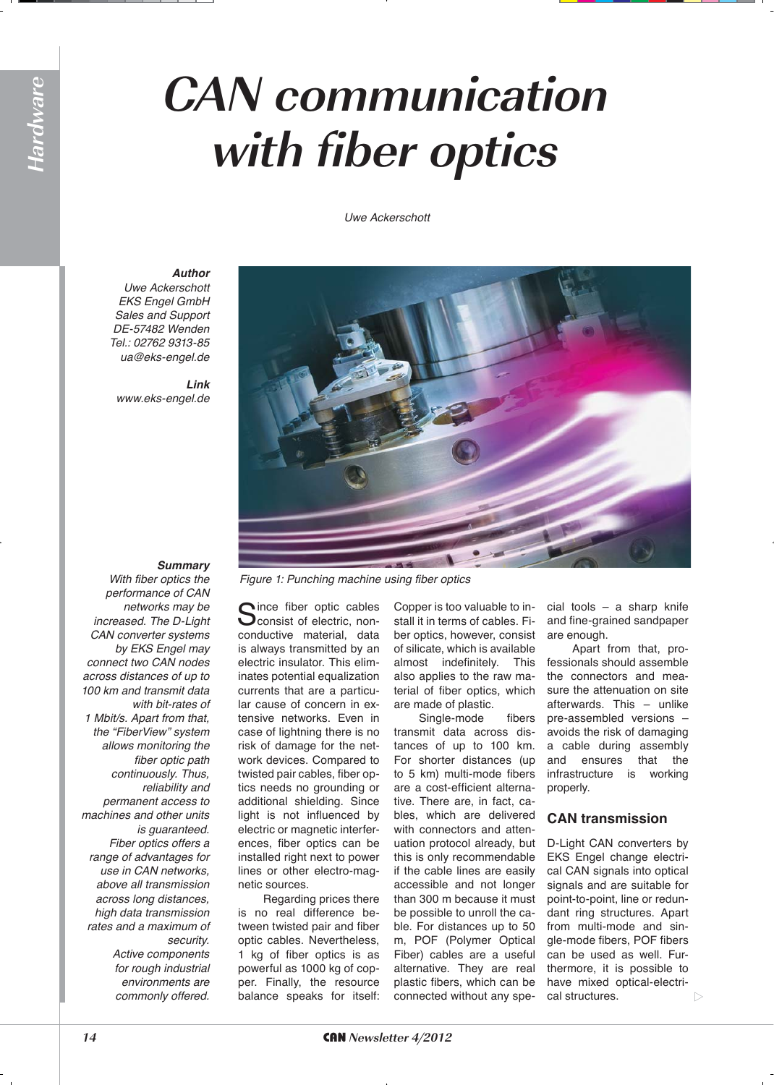# **CAN communication with fiber optics**

*Uwe Ackerschott*

#### *Author*

*Uwe Ackerschott* **EKS Engel GmbH** Sales and Support DE-57482 Wenden Tel.: 02762 9313-85 *ua@eks-engel.de*

*Link www.eks-engel.de*



#### *Summary*

*With fiber optics the performance of CAN networks may be increased. The D-Light CAN converter systems*  by EKS Engel may *connect two CAN nodes across distances of up to 100 km and transmit data with bit-rates of 1 Mbit/s. Apart from that, the "FiberView" system allows monitoring the fiber optic path continuously. Thus, reliability and permanent access to machines and other units is guaranteed. Fiber optics offers a range of advantages for use in CAN networks, above all transmission across long distances, high data transmission rates and a maximum of security.* 

> *Active components for rough industrial environments are commonly offered.*

Since fiber optic cables<br>Sconsist of electric, nonconductive material, data is always transmitted by an electric insulator. This eliminates potential equalization currents that are a particular cause of concern in extensive networks. Even in case of lightning there is no risk of damage for the network devices. Compared to twisted pair cables, fiber optics needs no grounding or additional shielding. Since light is not influenced by electric or magnetic interferences, fiber optics can be installed right next to power lines or other electro-magnetic sources.

Regarding prices there is no real difference between twisted pair and fiber optic cables. Nevertheless, 1 kg of fiber optics is as powerful as 1000 kg of copper. Finally, the resource balance speaks for itself:

Copper is too valuable to install it in terms of cables. Fiber optics, however, consist of silicate, which is available almost indefinitely. This also applies to the raw material of fiber optics, which are made of plastic.

Single-mode fibers transmit data across distances of up to 100 km. For shorter distances (up to 5 km) multi-mode fibers are a cost-efficient alternative. There are, in fact, cables, which are delivered with connectors and attenuation protocol already, but this is only recommendable if the cable lines are easily accessible and not longer than 300 m because it must be possible to unroll the cable. For distances up to 50 m, POF (Polymer Optical Fiber) cables are a useful alternative. They are real plastic fibers, which can be connected without any spe-

cial tools – a sharp knife and fine-grained sandpaper are enough.

Apart from that, professionals should assemble the connectors and measure the attenuation on site afterwards. This – unlike pre-assembled versions – avoids the risk of damaging a cable during assembly and ensures that the infrastructure is working properly.

#### **CAN transmission**

D-Light CAN converters by EKS Engel change electrical CAN signals into optical signals and are suitable for point-to-point, line or redundant ring structures. Apart from multi-mode and single-mode fibers, POF fibers can be used as well. Furthermore, it is possible to have mixed optical-electrical structures.  $\triangleright$